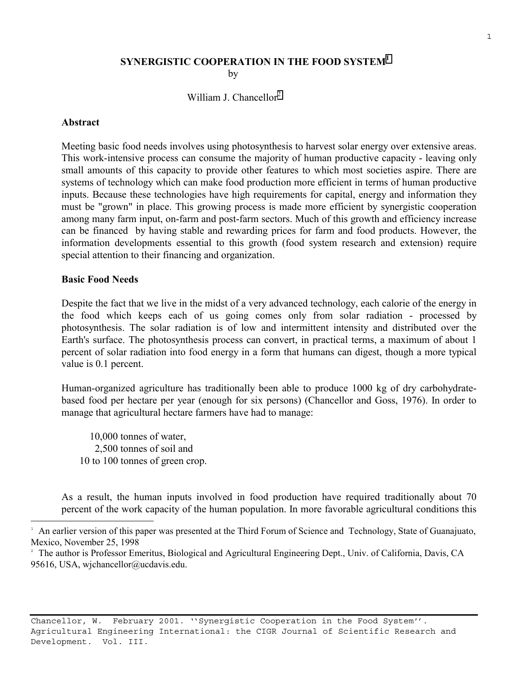## **SYNERGISTIC COOPERATION IN THE FOOD SYSTEM<sup>1</sup> by**

## William J. Chancellor<sup>2</sup>

#### **Abstract**

Meeting basic food needs involves using photosynthesis to harvest solar energy over extensive areas. This work-intensive process can consume the majority of human productive capacity - leaving only small amounts of this capacity to provide other features to which most societies aspire. There are systems of technology which can make food production more efficient in terms of human productive inputs. Because these technologies have high requirements for capital, energy and information they must be "grown" in place. This growing process is made more efficient by synergistic cooperation among many farm input, on-farm and post-farm sectors. Much of this growth and efficiency increase can be financed by having stable and rewarding prices for farm and food products. However, the information developments essential to this growth (food system research and extension) require special attention to their financing and organization.

### **Basic Food Needs**

i<br>L

Despite the fact that we live in the midst of a very advanced technology, each calorie of the energy in the food which keeps each of us going comes only from solar radiation - processed by photosynthesis. The solar radiation is of low and intermittent intensity and distributed over the Earth's surface. The photosynthesis process can convert, in practical terms, a maximum of about 1 percent of solar radiation into food energy in a form that humans can digest, though a more typical value is 0.1 percent.

Human-organized agriculture has traditionally been able to produce 1000 kg of dry carbohydratebased food per hectare per year (enough for six persons) (Chancellor and Goss, 1976). In order to manage that agricultural hectare farmers have had to manage:

 10,000 tonnes of water, 2,500 tonnes of soil and 10 to 100 tonnes of green crop.

As a result, the human inputs involved in food production have required traditionally about 70 percent of the work capacity of the human population. In more favorable agricultural conditions this

Chancellor, W. February 2001. ''Synergistic Cooperation in the Food System''. Agricultural Engineering International: the CIGR Journal of Scientific Research and Development. Vol. III.

<sup>1</sup> An earlier version of this paper was presented at the Third Forum of Science and Technology, State of Guanajuato, Mexico, November 25, 1998

<sup>2</sup> The author is Professor Emeritus, Biological and Agricultural Engineering Dept., Univ. of California, Davis, CA 95616, USA, wjchancellor@ucdavis.edu.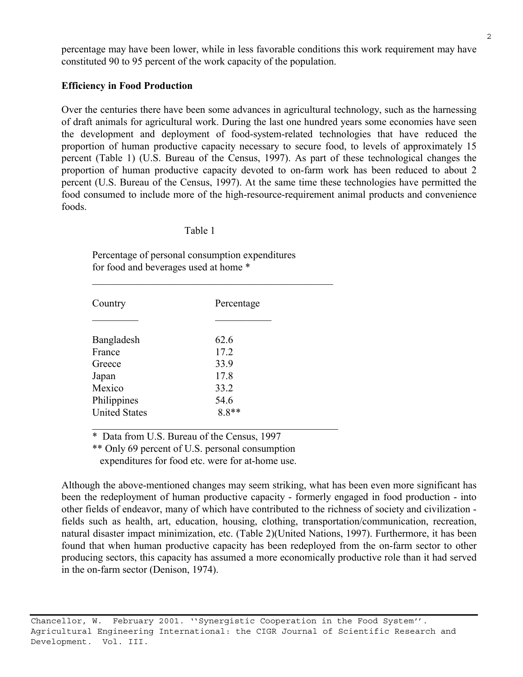percentage may have been lower, while in less favorable conditions this work requirement may have constituted 90 to 95 percent of the work capacity of the population.

## **Efficiency in Food Production**

Over the centuries there have been some advances in agricultural technology, such as the harnessing of draft animals for agricultural work. During the last one hundred years some economies have seen the development and deployment of food-system-related technologies that have reduced the proportion of human productive capacity necessary to secure food, to levels of approximately 15 percent (Table 1) (U.S. Bureau of the Census, 1997). As part of these technological changes the proportion of human productive capacity devoted to on-farm work has been reduced to about 2 percent (U.S. Bureau of the Census, 1997). At the same time these technologies have permitted the food consumed to include more of the high-resource-requirement animal products and convenience foods.

### Table 1

 Percentage of personal consumption expenditures for food and beverages used at home \*

| Country              | Percentage |
|----------------------|------------|
|                      |            |
| Bangladesh           | 62.6       |
| France               | 17.2       |
| Greece               | 33.9       |
| Japan                | 17.8       |
| Mexico               | 33.2       |
| Philippines          | 54.6       |
| <b>United States</b> | $8.8**$    |

\* Data from U.S. Bureau of the Census, 1997

\*\* Only 69 percent of U.S. personal consumption

 $\mathcal{L}_\text{max} = \frac{1}{2} \sum_{i=1}^{n} \frac{1}{2} \sum_{i=1}^{n} \frac{1}{2} \sum_{i=1}^{n} \frac{1}{2} \sum_{i=1}^{n} \frac{1}{2} \sum_{i=1}^{n} \frac{1}{2} \sum_{i=1}^{n} \frac{1}{2} \sum_{i=1}^{n} \frac{1}{2} \sum_{i=1}^{n} \frac{1}{2} \sum_{i=1}^{n} \frac{1}{2} \sum_{i=1}^{n} \frac{1}{2} \sum_{i=1}^{n} \frac{1}{2} \sum_{i=1}^{n} \frac{1$ 

expenditures for food etc. were for at-home use.

Although the above-mentioned changes may seem striking, what has been even more significant has been the redeployment of human productive capacity - formerly engaged in food production - into other fields of endeavor, many of which have contributed to the richness of society and civilization fields such as health, art, education, housing, clothing, transportation/communication, recreation, natural disaster impact minimization, etc. (Table 2)(United Nations, 1997). Furthermore, it has been found that when human productive capacity has been redeployed from the on-farm sector to other producing sectors, this capacity has assumed a more economically productive role than it had served in the on-farm sector (Denison, 1974).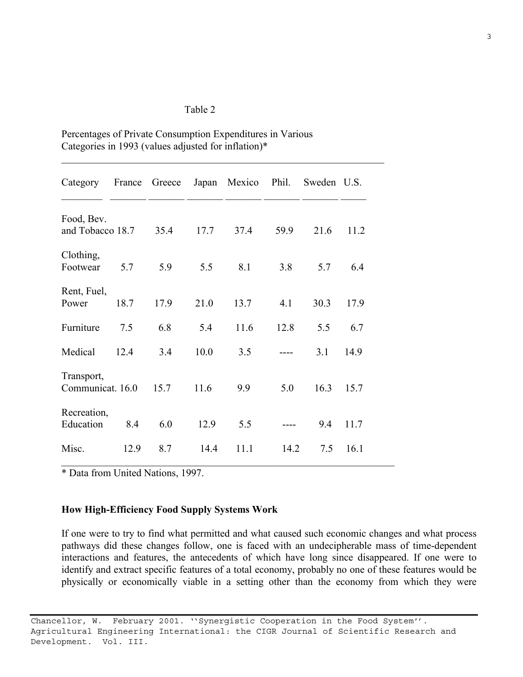### Table 2

| Category                       | France | Greece |      | Japan Mexico Phil. |      | Sweden U.S. |      |
|--------------------------------|--------|--------|------|--------------------|------|-------------|------|
| Food, Bev.<br>and Tobacco 18.7 |        | 35.4   | 17.7 | 37.4               | 59.9 | 21.6        | 11.2 |
| Clothing,<br>Footwear          | 5.7    | 5.9    | 5.5  | 8.1                | 3.8  | 5.7         | 6.4  |
| Rent, Fuel,<br>Power           | 18.7   | 17.9   | 21.0 | 13.7               | 4.1  | 30.3        | 17.9 |
| Furniture                      | 7.5    | 6.8    | 5.4  | 11.6               | 12.8 | 5.5         | 6.7  |
| Medical                        | 12.4   | 3.4    | 10.0 | 3.5                |      | 3.1         | 14.9 |
| Transport,<br>Communicat. 16.0 |        | 15.7   | 11.6 | 9.9                | 5.0  | 16.3        | 15.7 |
| Recreation,<br>Education       | 8.4    | 6.0    | 12.9 | 5.5                |      | 9.4         | 11.7 |
| Misc.                          | 12.9   | 8.7    | 14.4 | 11.1               | 14.2 | 7.5         | 16.1 |

 $\mathcal{L}_\text{max}$  , and the contribution of the contribution of the contribution of the contribution of the contribution of the contribution of the contribution of the contribution of the contribution of the contribution of t

Percentages of Private Consumption Expenditures in Various Categories in 1993 (values adjusted for inflation)\*

\* Data from United Nations, 1997.

## **How High-Efficiency Food Supply Systems Work**

If one were to try to find what permitted and what caused such economic changes and what process pathways did these changes follow, one is faced with an undecipherable mass of time-dependent interactions and features, the antecedents of which have long since disappeared. If one were to identify and extract specific features of a total economy, probably no one of these features would be physically or economically viable in a setting other than the economy from which they were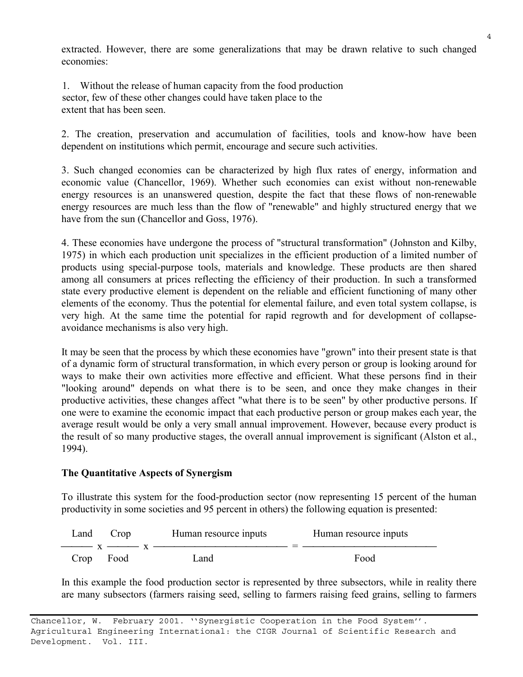extracted. However, there are some generalizations that may be drawn relative to such changed economies:

1. Without the release of human capacity from the food production sector, few of these other changes could have taken place to the extent that has been seen.

2. The creation, preservation and accumulation of facilities, tools and know-how have been dependent on institutions which permit, encourage and secure such activities.

3. Such changed economies can be characterized by high flux rates of energy, information and economic value (Chancellor, 1969). Whether such economies can exist without non-renewable energy resources is an unanswered question, despite the fact that these flows of non-renewable energy resources are much less than the flow of "renewable" and highly structured energy that we have from the sun (Chancellor and Goss, 1976).

4. These economies have undergone the process of "structural transformation" (Johnston and Kilby, 1975) in which each production unit specializes in the efficient production of a limited number of products using special-purpose tools, materials and knowledge. These products are then shared among all consumers at prices reflecting the efficiency of their production. In such a transformed state every productive element is dependent on the reliable and efficient functioning of many other elements of the economy. Thus the potential for elemental failure, and even total system collapse, is very high. At the same time the potential for rapid regrowth and for development of collapseavoidance mechanisms is also very high.

It may be seen that the process by which these economies have "grown" into their present state is that of a dynamic form of structural transformation, in which every person or group is looking around for ways to make their own activities more effective and efficient. What these persons find in their "looking around" depends on what there is to be seen, and once they make changes in their productive activities, these changes affect "what there is to be seen" by other productive persons. If one were to examine the economic impact that each productive person or group makes each year, the average result would be only a very small annual improvement. However, because every product is the result of so many productive stages, the overall annual improvement is significant (Alston et al., 1994).

## **The Quantitative Aspects of Synergism**

To illustrate this system for the food-production sector (now representing 15 percent of the human productivity in some societies and 95 percent in others) the following equation is presented:

| Land      | Crop | Human resource inputs                                                                                                                                                                                                                                                                                                 | Human resource inputs |
|-----------|------|-----------------------------------------------------------------------------------------------------------------------------------------------------------------------------------------------------------------------------------------------------------------------------------------------------------------------|-----------------------|
|           |      | $\frac{1}{1}$ x $\frac{1}{1}$ x $\frac{1}{1}$ x $\frac{1}{1}$ $\frac{1}{1}$ $\frac{1}{1}$ $\frac{1}{1}$ $\frac{1}{1}$ $\frac{1}{1}$ $\frac{1}{1}$ $\frac{1}{1}$ $\frac{1}{1}$ $\frac{1}{1}$ $\frac{1}{1}$ $\frac{1}{1}$ $\frac{1}{1}$ $\frac{1}{1}$ $\frac{1}{1}$ $\frac{1}{1}$ $\frac{1}{1}$ $\frac{1}{1}$ $\frac{1$ |                       |
| Crop Food |      | Land                                                                                                                                                                                                                                                                                                                  | Food                  |

In this example the food production sector is represented by three subsectors, while in reality there are many subsectors (farmers raising seed, selling to farmers raising feed grains, selling to farmers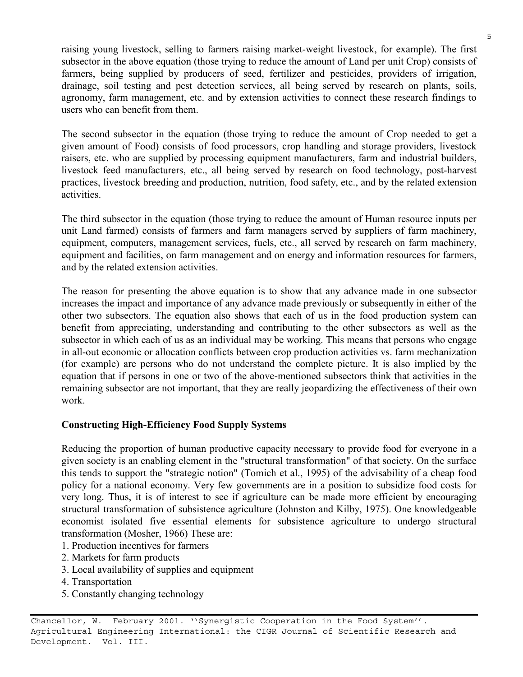raising young livestock, selling to farmers raising market-weight livestock, for example). The first subsector in the above equation (those trying to reduce the amount of Land per unit Crop) consists of farmers, being supplied by producers of seed, fertilizer and pesticides, providers of irrigation, drainage, soil testing and pest detection services, all being served by research on plants, soils, agronomy, farm management, etc. and by extension activities to connect these research findings to users who can benefit from them.

The second subsector in the equation (those trying to reduce the amount of Crop needed to get a given amount of Food) consists of food processors, crop handling and storage providers, livestock raisers, etc. who are supplied by processing equipment manufacturers, farm and industrial builders, livestock feed manufacturers, etc., all being served by research on food technology, post-harvest practices, livestock breeding and production, nutrition, food safety, etc., and by the related extension activities.

The third subsector in the equation (those trying to reduce the amount of Human resource inputs per unit Land farmed) consists of farmers and farm managers served by suppliers of farm machinery, equipment, computers, management services, fuels, etc., all served by research on farm machinery, equipment and facilities, on farm management and on energy and information resources for farmers, and by the related extension activities.

The reason for presenting the above equation is to show that any advance made in one subsector increases the impact and importance of any advance made previously or subsequently in either of the other two subsectors. The equation also shows that each of us in the food production system can benefit from appreciating, understanding and contributing to the other subsectors as well as the subsector in which each of us as an individual may be working. This means that persons who engage in all-out economic or allocation conflicts between crop production activities vs. farm mechanization (for example) are persons who do not understand the complete picture. It is also implied by the equation that if persons in one or two of the above-mentioned subsectors think that activities in the remaining subsector are not important, that they are really jeopardizing the effectiveness of their own work.

# **Constructing High-Efficiency Food Supply Systems**

Reducing the proportion of human productive capacity necessary to provide food for everyone in a given society is an enabling element in the "structural transformation" of that society. On the surface this tends to support the "strategic notion" (Tomich et al., 1995) of the advisability of a cheap food policy for a national economy. Very few governments are in a position to subsidize food costs for very long. Thus, it is of interest to see if agriculture can be made more efficient by encouraging structural transformation of subsistence agriculture (Johnston and Kilby, 1975). One knowledgeable economist isolated five essential elements for subsistence agriculture to undergo structural transformation (Mosher, 1966) These are:

- 1. Production incentives for farmers
- 2. Markets for farm products
- 3. Local availability of supplies and equipment
- 4. Transportation
- 5. Constantly changing technology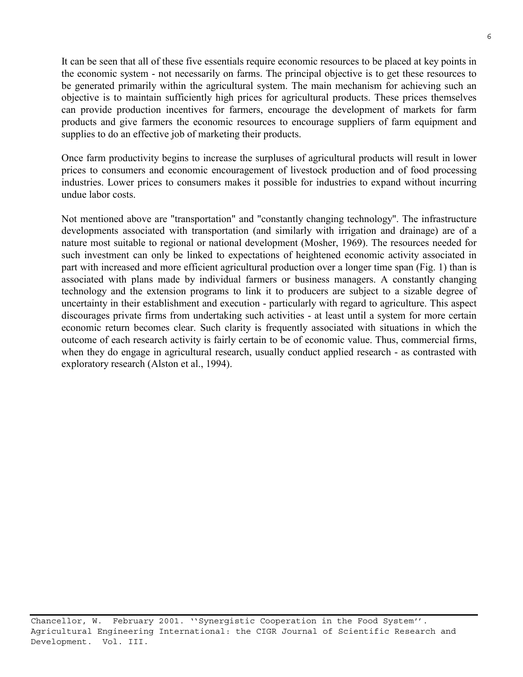It can be seen that all of these five essentials require economic resources to be placed at key points in the economic system - not necessarily on farms. The principal objective is to get these resources to be generated primarily within the agricultural system. The main mechanism for achieving such an objective is to maintain sufficiently high prices for agricultural products. These prices themselves can provide production incentives for farmers, encourage the development of markets for farm products and give farmers the economic resources to encourage suppliers of farm equipment and supplies to do an effective job of marketing their products.

Once farm productivity begins to increase the surpluses of agricultural products will result in lower prices to consumers and economic encouragement of livestock production and of food processing industries. Lower prices to consumers makes it possible for industries to expand without incurring undue labor costs.

Not mentioned above are "transportation" and "constantly changing technology". The infrastructure developments associated with transportation (and similarly with irrigation and drainage) are of a nature most suitable to regional or national development (Mosher, 1969). The resources needed for such investment can only be linked to expectations of heightened economic activity associated in part with increased and more efficient agricultural production over a longer time span (Fig. 1) than is associated with plans made by individual farmers or business managers. A constantly changing technology and the extension programs to link it to producers are subject to a sizable degree of uncertainty in their establishment and execution - particularly with regard to agriculture. This aspect discourages private firms from undertaking such activities - at least until a system for more certain economic return becomes clear. Such clarity is frequently associated with situations in which the outcome of each research activity is fairly certain to be of economic value. Thus, commercial firms, when they do engage in agricultural research, usually conduct applied research - as contrasted with exploratory research (Alston et al., 1994).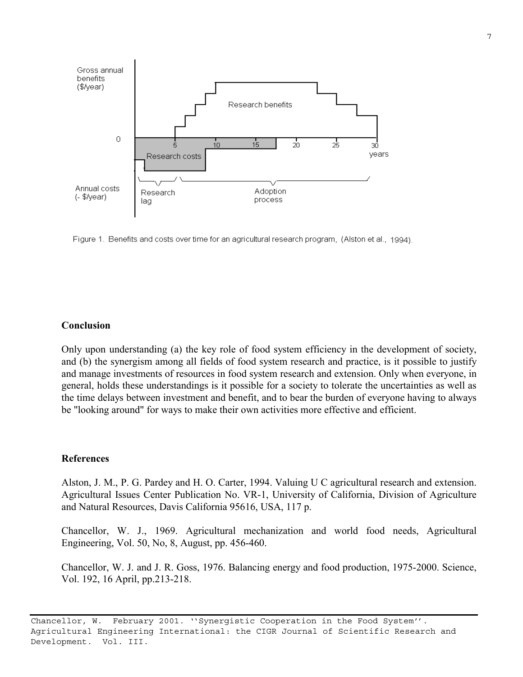

Figure 1. Benefits and costs over time for an agricultural research program, (Alston et al., 1994).

### **Conclusion**

Only upon understanding (a) the key role of food system efficiency in the development of society, and (b) the synergism among all fields of food system research and practice, is it possible to justify and manage investments of resources in food system research and extension. Only when everyone, in general, holds these understandings is it possible for a society to tolerate the uncertainties as well as the time delays between investment and benefit, and to bear the burden of everyone having to always be "looking around" for ways to make their own activities more effective and efficient.

#### **References**

Alston, J. M., P. G. Pardey and H. O. Carter, 1994. Valuing U C agricultural research and extension. Agricultural Issues Center Publication No. VR-1, University of California, Division of Agriculture and Natural Resources, Davis California 95616, USA, 117 p.

Chancellor, W. J., 1969. Agricultural mechanization and world food needs, Agricultural Engineering, Vol. 50, No, 8, August, pp. 456-460.

Chancellor, W. J. and J. R. Goss, 1976. Balancing energy and food production, 1975-2000. Science, Vol. 192, 16 April, pp.213-218.

Chancellor, W. February 2001. ''Synergistic Cooperation in the Food System''. Agricultural Engineering International: the CIGR Journal of Scientific Research and Development. Vol. III.